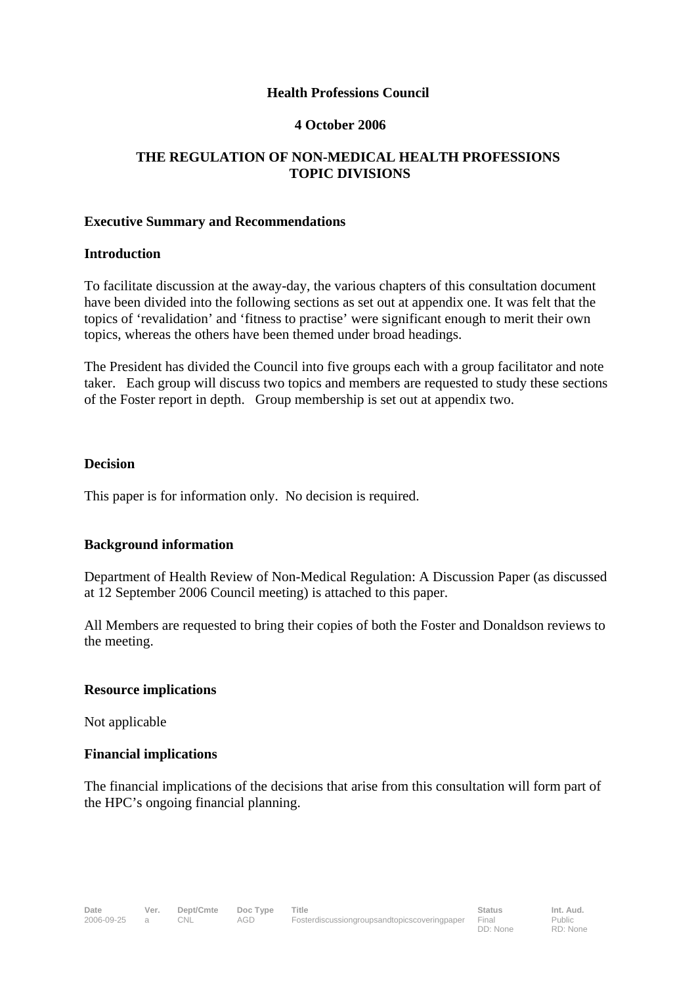### **Health Professions Council**

### **4 October 2006**

## **THE REGULATION OF NON-MEDICAL HEALTH PROFESSIONS TOPIC DIVISIONS**

### **Executive Summary and Recommendations**

### **Introduction**

To facilitate discussion at the away-day, the various chapters of this consultation document have been divided into the following sections as set out at appendix one. It was felt that the topics of 'revalidation' and 'fitness to practise' were significant enough to merit their own topics, whereas the others have been themed under broad headings.

The President has divided the Council into five groups each with a group facilitator and note taker. Each group will discuss two topics and members are requested to study these sections of the Foster report in depth. Group membership is set out at appendix two.

## **Decision**

This paper is for information only. No decision is required.

## **Background information**

Department of Health Review of Non-Medical Regulation: A Discussion Paper (as discussed at 12 September 2006 Council meeting) is attached to this paper.

All Members are requested to bring their copies of both the Foster and Donaldson reviews to the meeting.

## **Resource implications**

Not applicable

## **Financial implications**

The financial implications of the decisions that arise from this consultation will form part of the HPC's ongoing financial planning.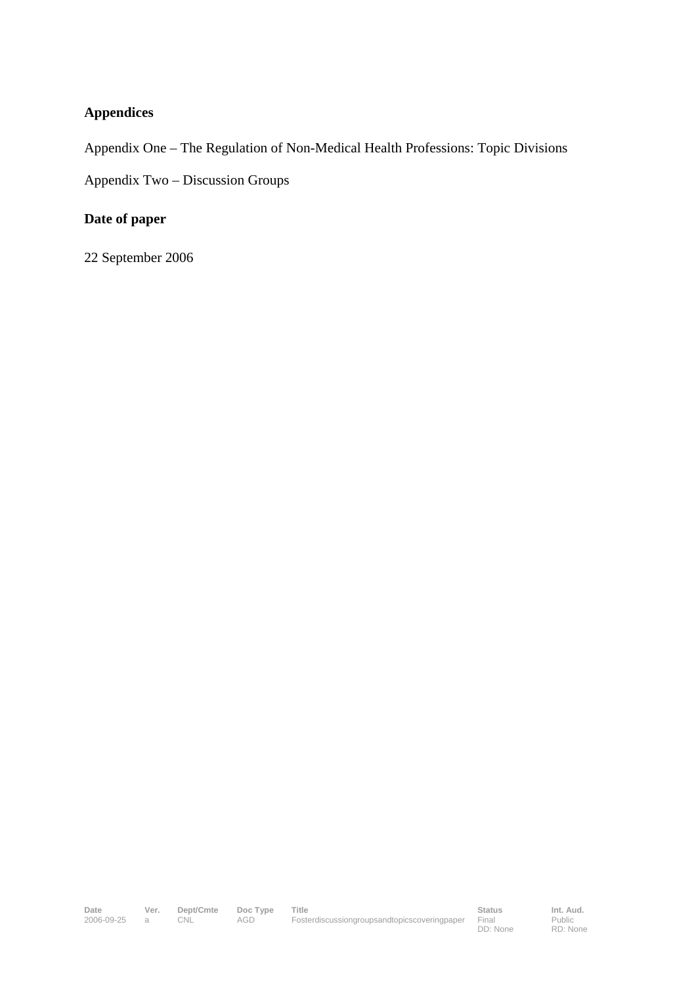## **Appendices**

Appendix One – The Regulation of Non-Medical Health Professions: Topic Divisions

Appendix Two – Discussion Groups

## **Date of paper**

22 September 2006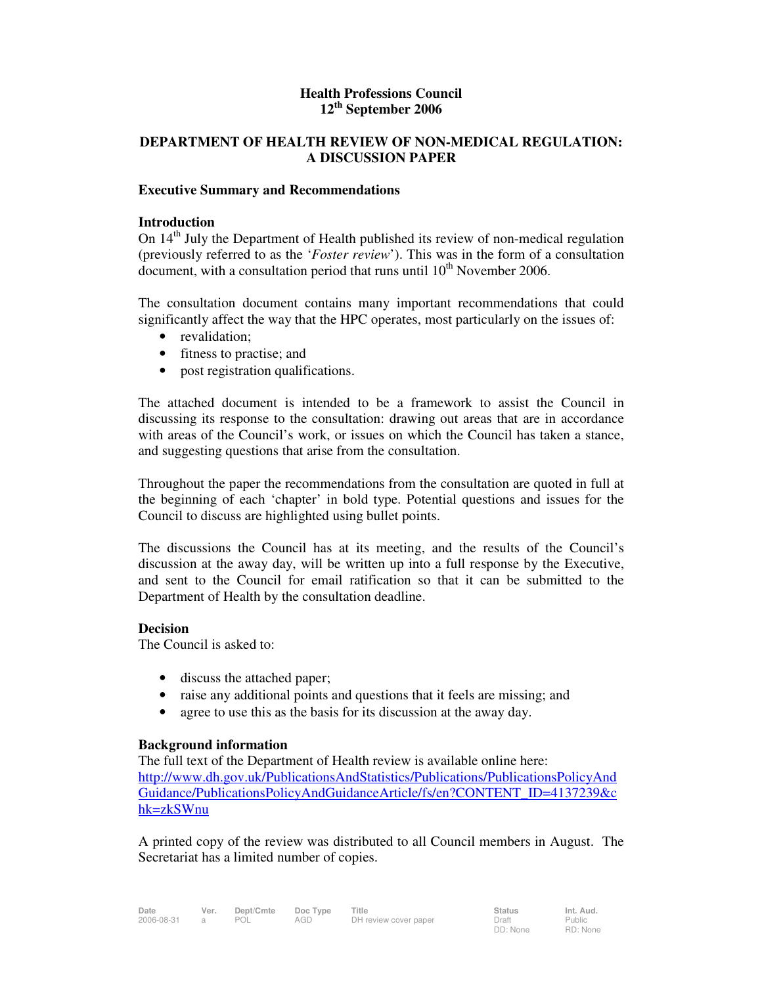#### **Health Professions Council 12th September 2006**

#### **DEPARTMENT OF HEALTH REVIEW OF NON-MEDICAL REGULATION: A DISCUSSION PAPER**

#### **Executive Summary and Recommendations**

#### **Introduction**

On  $14<sup>th</sup>$  July the Department of Health published its review of non-medical regulation (previously referred to as the '*Foster review*'). This was in the form of a consultation document, with a consultation period that runs until  $10^{th}$  November 2006.

The consultation document contains many important recommendations that could significantly affect the way that the HPC operates, most particularly on the issues of:

- revalidation;
- fitness to practise; and
- post registration qualifications.

The attached document is intended to be a framework to assist the Council in discussing its response to the consultation: drawing out areas that are in accordance with areas of the Council's work, or issues on which the Council has taken a stance, and suggesting questions that arise from the consultation.

Throughout the paper the recommendations from the consultation are quoted in full at the beginning of each 'chapter' in bold type. Potential questions and issues for the Council to discuss are highlighted using bullet points.

The discussions the Council has at its meeting, and the results of the Council's discussion at the away day, will be written up into a full response by the Executive, and sent to the Council for email ratification so that it can be submitted to the Department of Health by the consultation deadline.

#### **Decision**

The Council is asked to:

- discuss the attached paper;
- raise any additional points and questions that it feels are missing; and
- agree to use this as the basis for its discussion at the away day.

#### **Background information**

The full text of the Department of Health review is available online here: http://www.dh.gov.uk/PublicationsAndStatistics/Publications/PublicationsPolicyAnd Guidance/PublicationsPolicyAndGuidanceArticle/fs/en?CONTENT\_ID=4137239&c hk=zkSWnu

A printed copy of the review was distributed to all Council members in August. The Secretariat has a limited number of copies.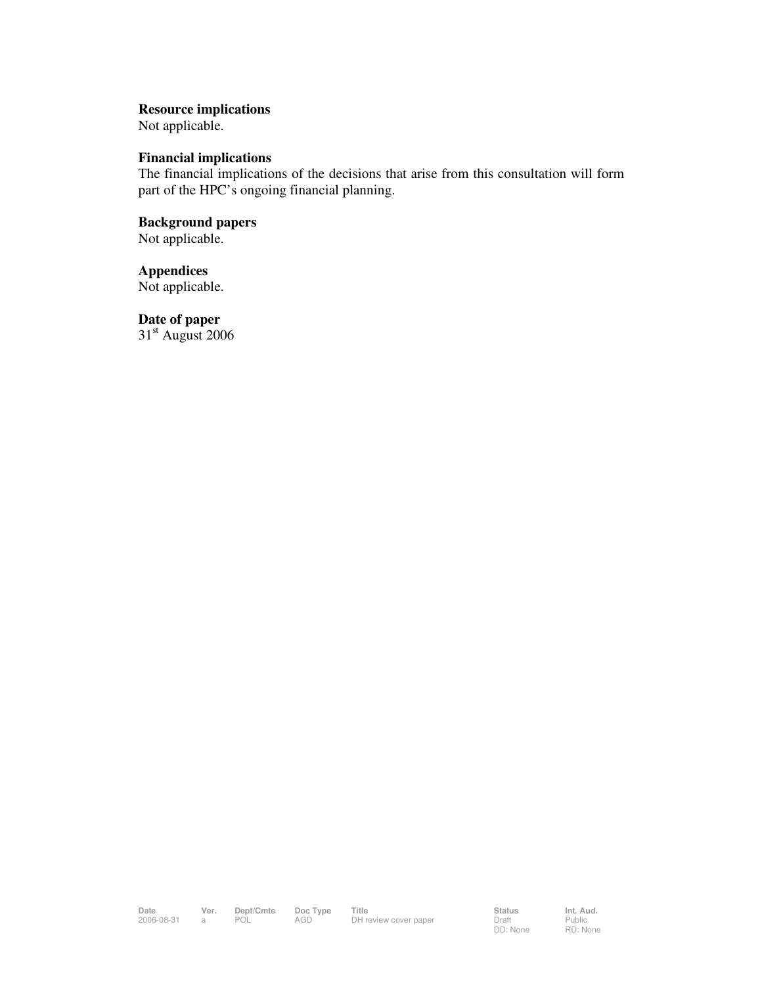#### **Resource implications**

Not applicable.

#### **Financial implications**

The financial implications of the decisions that arise from this consultation will form part of the HPC's ongoing financial planning.

### **Background papers**  Not applicable.

**Appendices**  Not applicable.

**Date of paper**   $31<sup>st</sup>$  August 2006

Public RD: None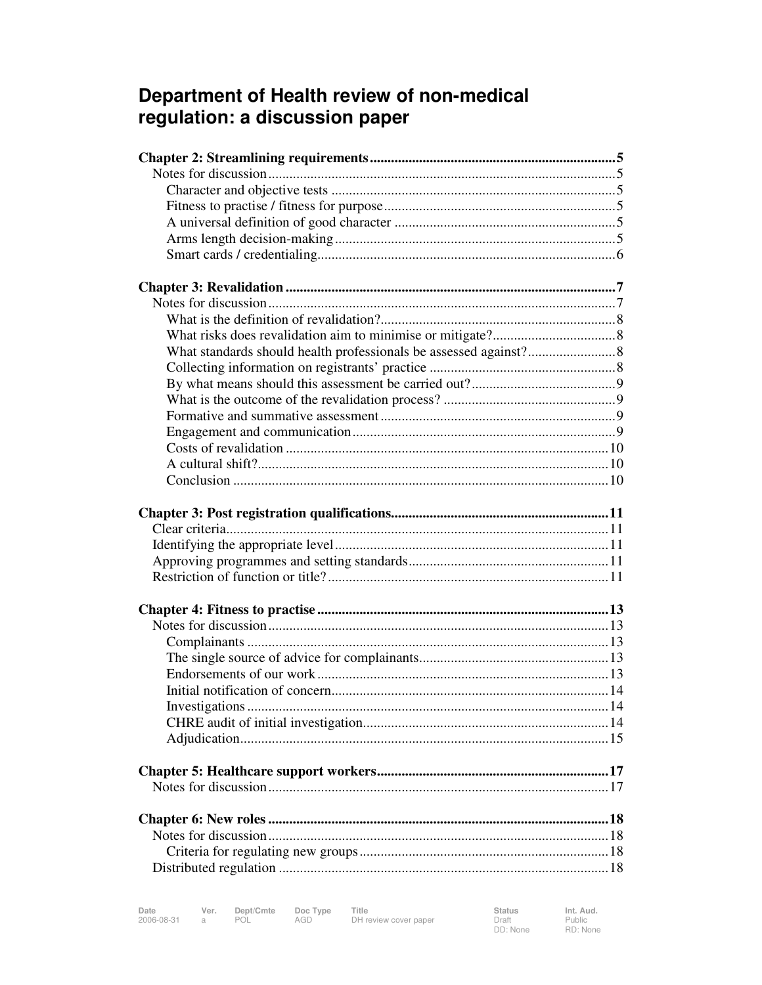# Department of Health review of non-medical regulation: a discussion paper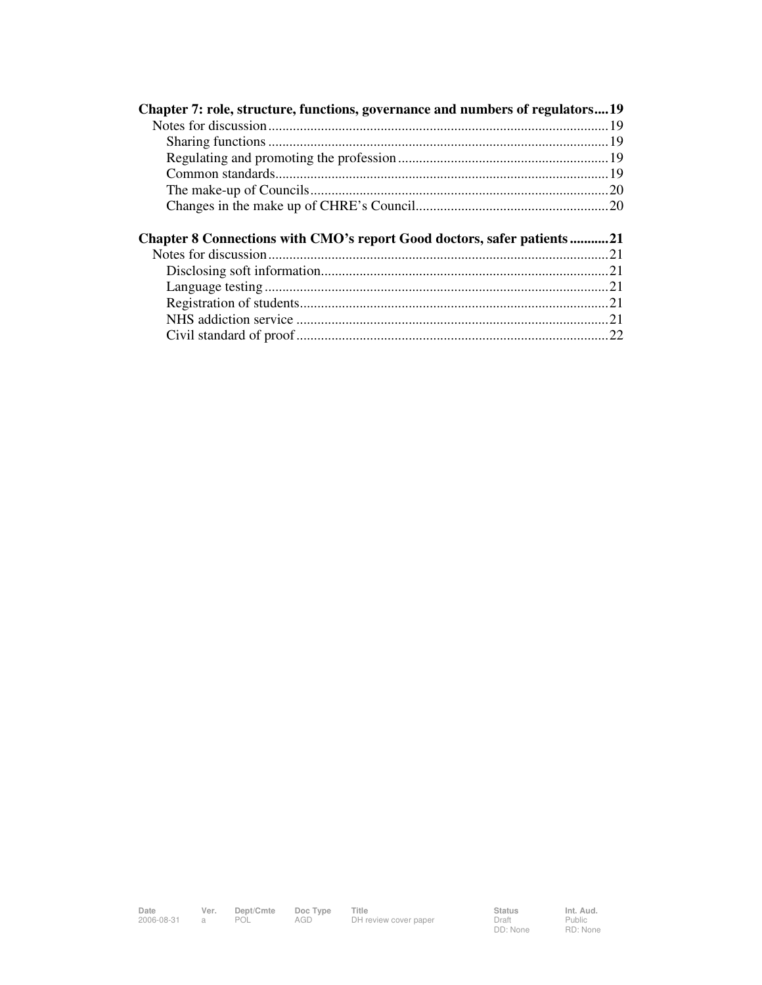| Chapter 7: role, structure, functions, governance and numbers of regulators19 |  |
|-------------------------------------------------------------------------------|--|
|                                                                               |  |
|                                                                               |  |
|                                                                               |  |
|                                                                               |  |
|                                                                               |  |
|                                                                               |  |
|                                                                               |  |
|                                                                               |  |
| Chapter 8 Connections with CMO's report Good doctors, safer patients 21       |  |
|                                                                               |  |
|                                                                               |  |
|                                                                               |  |
|                                                                               |  |
|                                                                               |  |
|                                                                               |  |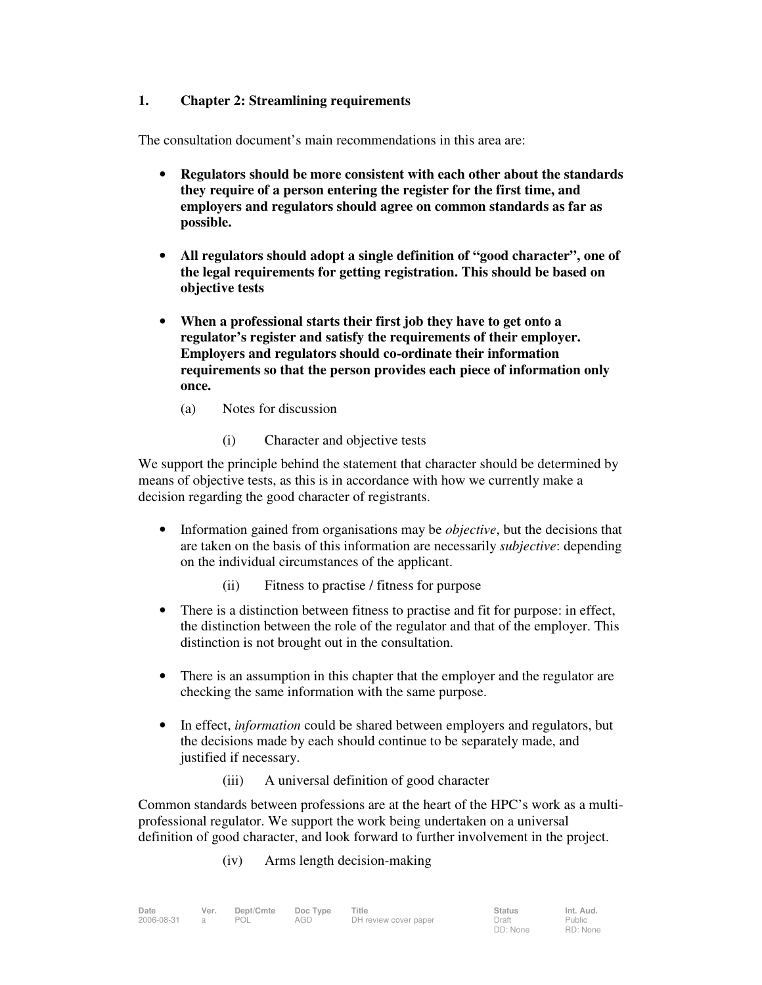### **1. Chapter 2: Streamlining requirements**

The consultation document's main recommendations in this area are:

- **Regulators should be more consistent with each other about the standards they require of a person entering the register for the first time, and employers and regulators should agree on common standards as far as possible.**
- **All regulators should adopt a single definition of "good character", one of the legal requirements for getting registration. This should be based on objective tests**
- **When a professional starts their first job they have to get onto a regulator's register and satisfy the requirements of their employer. Employers and regulators should co-ordinate their information requirements so that the person provides each piece of information only once.** 
	- (a) Notes for discussion
		- (i) Character and objective tests

We support the principle behind the statement that character should be determined by means of objective tests, as this is in accordance with how we currently make a decision regarding the good character of registrants.

- Information gained from organisations may be *objective*, but the decisions that are taken on the basis of this information are necessarily *subjective*: depending on the individual circumstances of the applicant.
	- (ii) Fitness to practise / fitness for purpose
- There is a distinction between fitness to practise and fit for purpose: in effect, the distinction between the role of the regulator and that of the employer. This distinction is not brought out in the consultation.
- There is an assumption in this chapter that the employer and the regulator are checking the same information with the same purpose.
- In effect, *information* could be shared between employers and regulators, but the decisions made by each should continue to be separately made, and justified if necessary.
	- (iii) A universal definition of good character

Common standards between professions are at the heart of the HPC's work as a multiprofessional regulator. We support the work being undertaken on a universal definition of good character, and look forward to further involvement in the project.

(iv) Arms length decision-making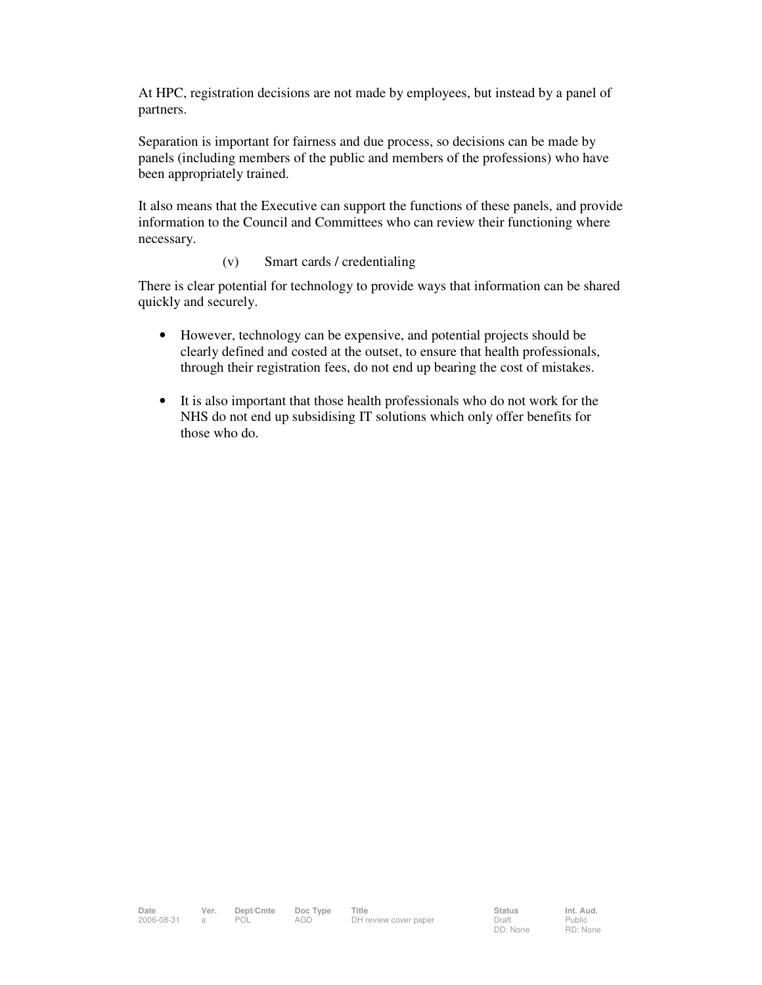At HPC, registration decisions are not made by employees, but instead by a panel of partners.

Separation is important for fairness and due process, so decisions can be made by panels (including members of the public and members of the professions) who have been appropriately trained.

It also means that the Executive can support the functions of these panels, and provide information to the Council and Committees who can review their functioning where necessary.

#### (v) Smart cards / credentialing

There is clear potential for technology to provide ways that information can be shared quickly and securely.

- However, technology can be expensive, and potential projects should be clearly defined and costed at the outset, to ensure that health professionals, through their registration fees, do not end up bearing the cost of mistakes.
- It is also important that those health professionals who do not work for the NHS do not end up subsidising IT solutions which only offer benefits for those who do.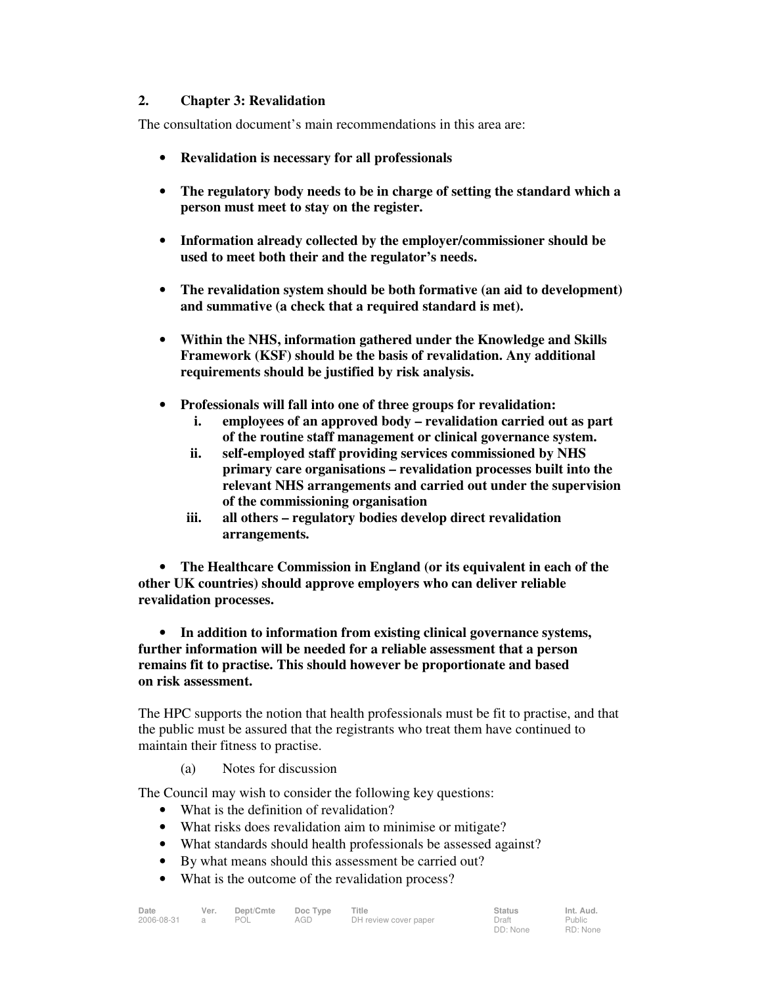### **2. Chapter 3: Revalidation**

The consultation document's main recommendations in this area are:

- **Revalidation is necessary for all professionals**
- **The regulatory body needs to be in charge of setting the standard which a person must meet to stay on the register.**
- **Information already collected by the employer/commissioner should be used to meet both their and the regulator's needs.**
- **The revalidation system should be both formative (an aid to development) and summative (a check that a required standard is met).**
- **Within the NHS, information gathered under the Knowledge and Skills Framework (KSF) should be the basis of revalidation. Any additional requirements should be justified by risk analysis.**
- **Professionals will fall into one of three groups for revalidation:** 
	- **i. employees of an approved body revalidation carried out as part of the routine staff management or clinical governance system.**
	- **ii. self-employed staff providing services commissioned by NHS primary care organisations – revalidation processes built into the relevant NHS arrangements and carried out under the supervision of the commissioning organisation**
	- **iii. all others regulatory bodies develop direct revalidation arrangements.**

• **The Healthcare Commission in England (or its equivalent in each of the other UK countries) should approve employers who can deliver reliable revalidation processes.** 

• **In addition to information from existing clinical governance systems, further information will be needed for a reliable assessment that a person remains fit to practise. This should however be proportionate and based on risk assessment.** 

The HPC supports the notion that health professionals must be fit to practise, and that the public must be assured that the registrants who treat them have continued to maintain their fitness to practise.

(a) Notes for discussion

The Council may wish to consider the following key questions:

- What is the definition of revalidation?
- What risks does revalidation aim to minimise or mitigate?
- What standards should health professionals be assessed against?
- By what means should this assessment be carried out?
- What is the outcome of the revalidation process?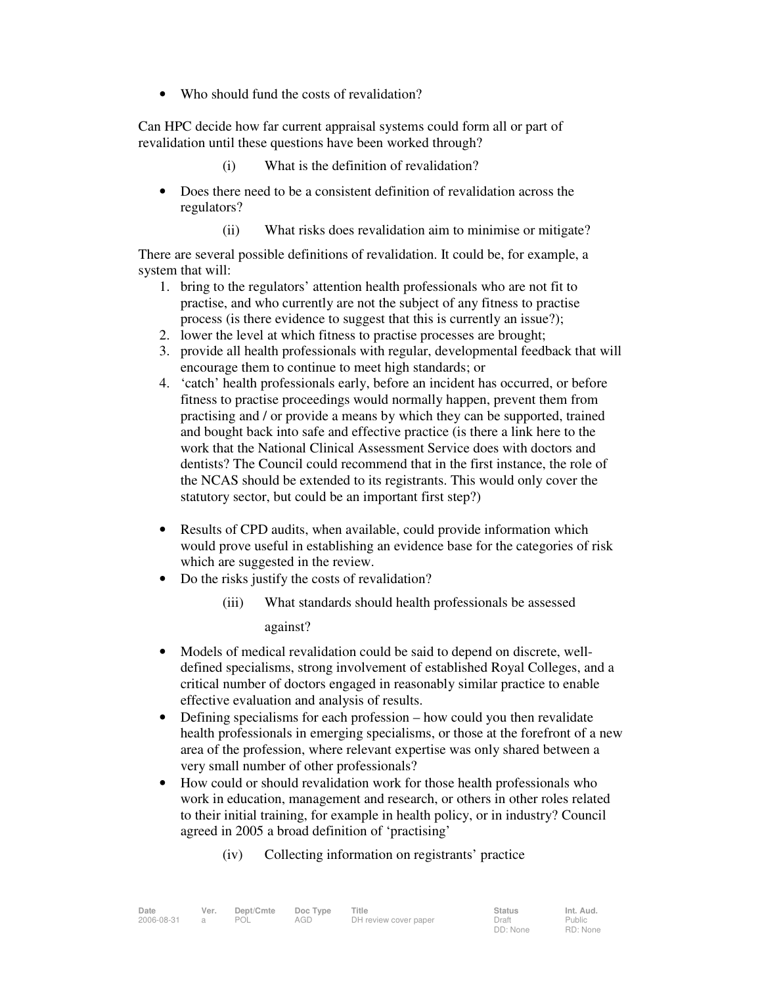• Who should fund the costs of revalidation?

Can HPC decide how far current appraisal systems could form all or part of revalidation until these questions have been worked through?

- (i) What is the definition of revalidation?
- Does there need to be a consistent definition of revalidation across the regulators?
	- (ii) What risks does revalidation aim to minimise or mitigate?

There are several possible definitions of revalidation. It could be, for example, a system that will:

- 1. bring to the regulators' attention health professionals who are not fit to practise, and who currently are not the subject of any fitness to practise process (is there evidence to suggest that this is currently an issue?);
- 2. lower the level at which fitness to practise processes are brought;
- 3. provide all health professionals with regular, developmental feedback that will encourage them to continue to meet high standards; or
- 4. 'catch' health professionals early, before an incident has occurred, or before fitness to practise proceedings would normally happen, prevent them from practising and / or provide a means by which they can be supported, trained and bought back into safe and effective practice (is there a link here to the work that the National Clinical Assessment Service does with doctors and dentists? The Council could recommend that in the first instance, the role of the NCAS should be extended to its registrants. This would only cover the statutory sector, but could be an important first step?)
- Results of CPD audits, when available, could provide information which would prove useful in establishing an evidence base for the categories of risk which are suggested in the review.
- Do the risks justify the costs of revalidation?
	- (iii) What standards should health professionals be assessed against?
- Models of medical revalidation could be said to depend on discrete, welldefined specialisms, strong involvement of established Royal Colleges, and a critical number of doctors engaged in reasonably similar practice to enable effective evaluation and analysis of results.
- Defining specialisms for each profession how could you then revalidate health professionals in emerging specialisms, or those at the forefront of a new area of the profession, where relevant expertise was only shared between a very small number of other professionals?
- How could or should revalidation work for those health professionals who work in education, management and research, or others in other roles related to their initial training, for example in health policy, or in industry? Council agreed in 2005 a broad definition of 'practising'
	- (iv) Collecting information on registrants' practice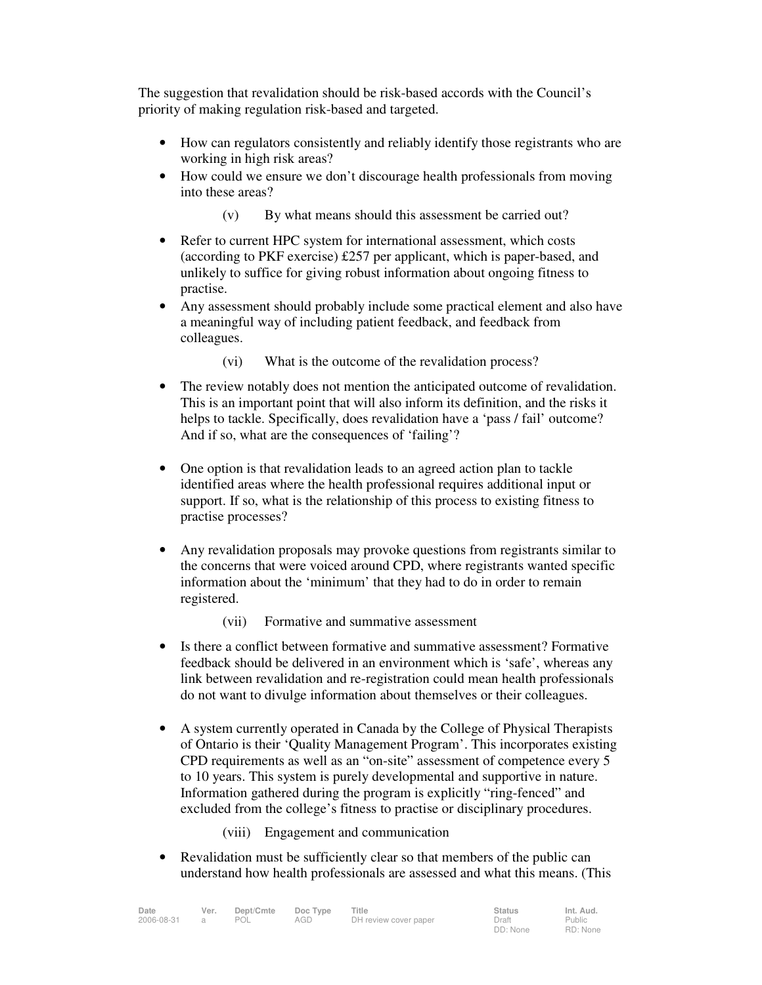The suggestion that revalidation should be risk-based accords with the Council's priority of making regulation risk-based and targeted.

- How can regulators consistently and reliably identify those registrants who are working in high risk areas?
- How could we ensure we don't discourage health professionals from moving into these areas?
	- (v) By what means should this assessment be carried out?
- Refer to current HPC system for international assessment, which costs (according to PKF exercise) £257 per applicant, which is paper-based, and unlikely to suffice for giving robust information about ongoing fitness to practise.
- Any assessment should probably include some practical element and also have a meaningful way of including patient feedback, and feedback from colleagues.
	- (vi) What is the outcome of the revalidation process?
- The review notably does not mention the anticipated outcome of revalidation. This is an important point that will also inform its definition, and the risks it helps to tackle. Specifically, does revalidation have a 'pass / fail' outcome? And if so, what are the consequences of 'failing'?
- One option is that revalidation leads to an agreed action plan to tackle identified areas where the health professional requires additional input or support. If so, what is the relationship of this process to existing fitness to practise processes?
- Any revalidation proposals may provoke questions from registrants similar to the concerns that were voiced around CPD, where registrants wanted specific information about the 'minimum' that they had to do in order to remain registered.
	- (vii) Formative and summative assessment
- Is there a conflict between formative and summative assessment? Formative feedback should be delivered in an environment which is 'safe', whereas any link between revalidation and re-registration could mean health professionals do not want to divulge information about themselves or their colleagues.
- A system currently operated in Canada by the College of Physical Therapists of Ontario is their 'Quality Management Program'. This incorporates existing CPD requirements as well as an "on-site" assessment of competence every 5 to 10 years. This system is purely developmental and supportive in nature. Information gathered during the program is explicitly "ring-fenced" and excluded from the college's fitness to practise or disciplinary procedures.
	- (viii) Engagement and communication
- Revalidation must be sufficiently clear so that members of the public can understand how health professionals are assessed and what this means. (This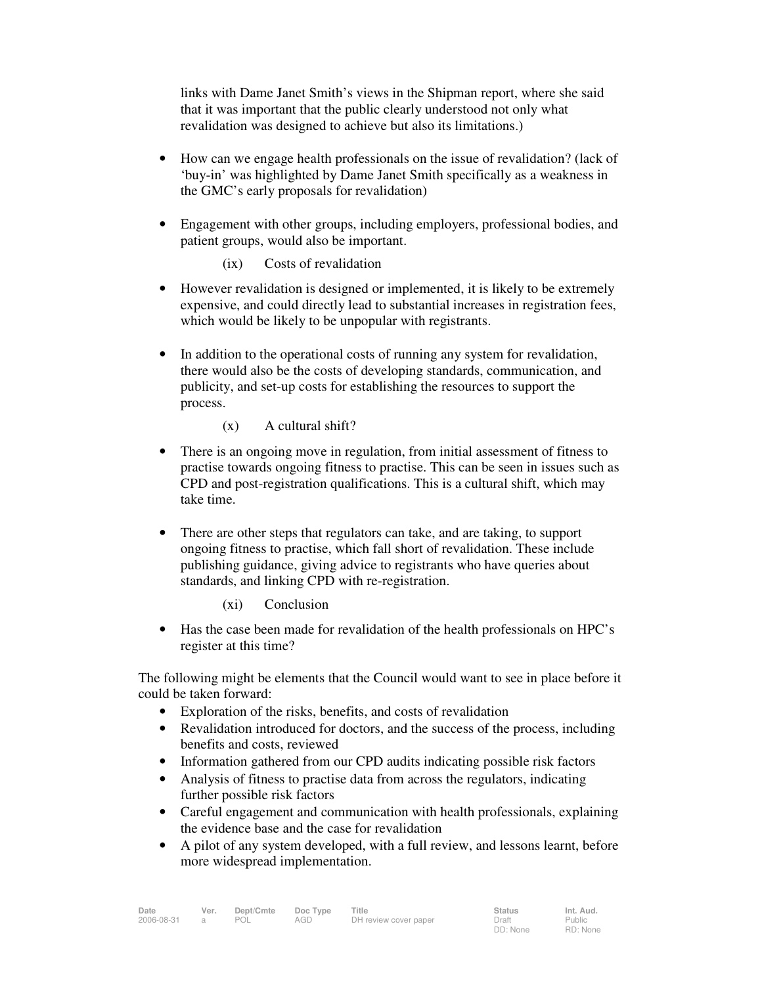links with Dame Janet Smith's views in the Shipman report, where she said that it was important that the public clearly understood not only what revalidation was designed to achieve but also its limitations.)

- How can we engage health professionals on the issue of revalidation? (lack of 'buy-in' was highlighted by Dame Janet Smith specifically as a weakness in the GMC's early proposals for revalidation)
- Engagement with other groups, including employers, professional bodies, and patient groups, would also be important.
	- (ix) Costs of revalidation
- However revalidation is designed or implemented, it is likely to be extremely expensive, and could directly lead to substantial increases in registration fees, which would be likely to be unpopular with registrants.
- In addition to the operational costs of running any system for revalidation, there would also be the costs of developing standards, communication, and publicity, and set-up costs for establishing the resources to support the process.
	- (x) A cultural shift?
- There is an ongoing move in regulation, from initial assessment of fitness to practise towards ongoing fitness to practise. This can be seen in issues such as CPD and post-registration qualifications. This is a cultural shift, which may take time.
- There are other steps that regulators can take, and are taking, to support ongoing fitness to practise, which fall short of revalidation. These include publishing guidance, giving advice to registrants who have queries about standards, and linking CPD with re-registration.
	- (xi) Conclusion
- Has the case been made for revalidation of the health professionals on HPC's register at this time?

The following might be elements that the Council would want to see in place before it could be taken forward:

- Exploration of the risks, benefits, and costs of revalidation
- Revalidation introduced for doctors, and the success of the process, including benefits and costs, reviewed
- Information gathered from our CPD audits indicating possible risk factors
- Analysis of fitness to practise data from across the regulators, indicating further possible risk factors
- Careful engagement and communication with health professionals, explaining the evidence base and the case for revalidation
- A pilot of any system developed, with a full review, and lessons learnt, before more widespread implementation.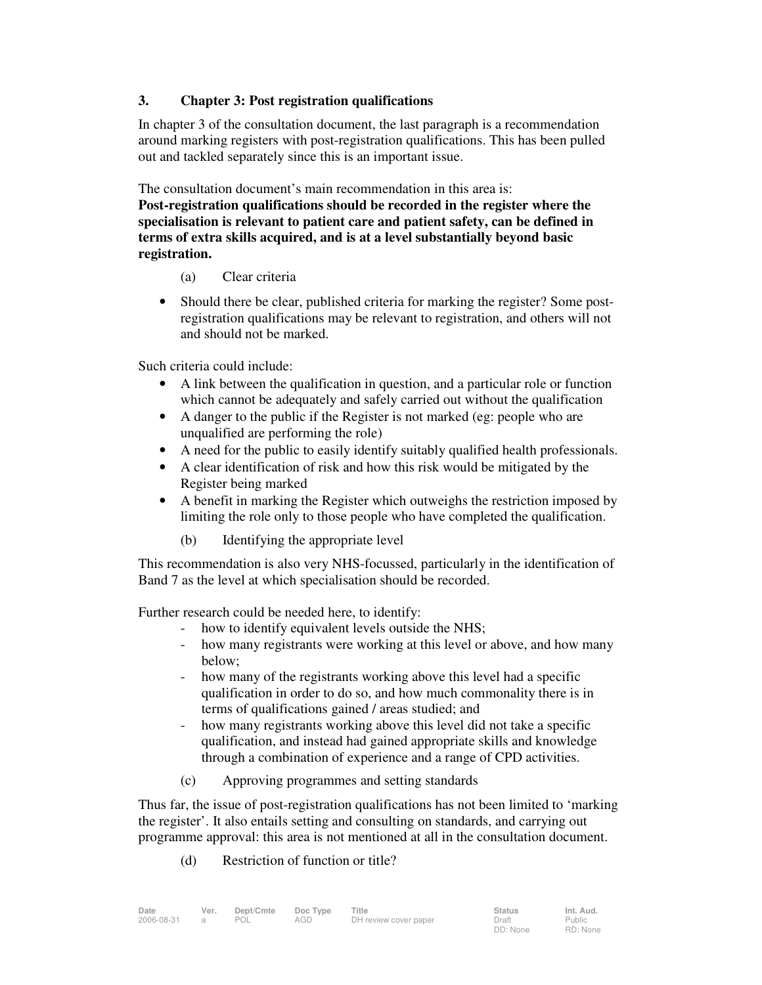### **3. Chapter 3: Post registration qualifications**

In chapter 3 of the consultation document, the last paragraph is a recommendation around marking registers with post-registration qualifications. This has been pulled out and tackled separately since this is an important issue.

The consultation document's main recommendation in this area is:

**Post-registration qualifications should be recorded in the register where the specialisation is relevant to patient care and patient safety, can be defined in terms of extra skills acquired, and is at a level substantially beyond basic registration.** 

### (a) Clear criteria

• Should there be clear, published criteria for marking the register? Some postregistration qualifications may be relevant to registration, and others will not and should not be marked.

Such criteria could include:

- A link between the qualification in question, and a particular role or function which cannot be adequately and safely carried out without the qualification
- A danger to the public if the Register is not marked (eg: people who are unqualified are performing the role)
- A need for the public to easily identify suitably qualified health professionals.
- A clear identification of risk and how this risk would be mitigated by the Register being marked
- A benefit in marking the Register which outweighs the restriction imposed by limiting the role only to those people who have completed the qualification.
	- (b) Identifying the appropriate level

This recommendation is also very NHS-focussed, particularly in the identification of Band 7 as the level at which specialisation should be recorded.

Further research could be needed here, to identify:

- how to identify equivalent levels outside the NHS;
- how many registrants were working at this level or above, and how many below;
- how many of the registrants working above this level had a specific qualification in order to do so, and how much commonality there is in terms of qualifications gained / areas studied; and
- how many registrants working above this level did not take a specific qualification, and instead had gained appropriate skills and knowledge through a combination of experience and a range of CPD activities.
- (c) Approving programmes and setting standards

Thus far, the issue of post-registration qualifications has not been limited to 'marking the register'. It also entails setting and consulting on standards, and carrying out programme approval: this area is not mentioned at all in the consultation document.

(d) Restriction of function or title?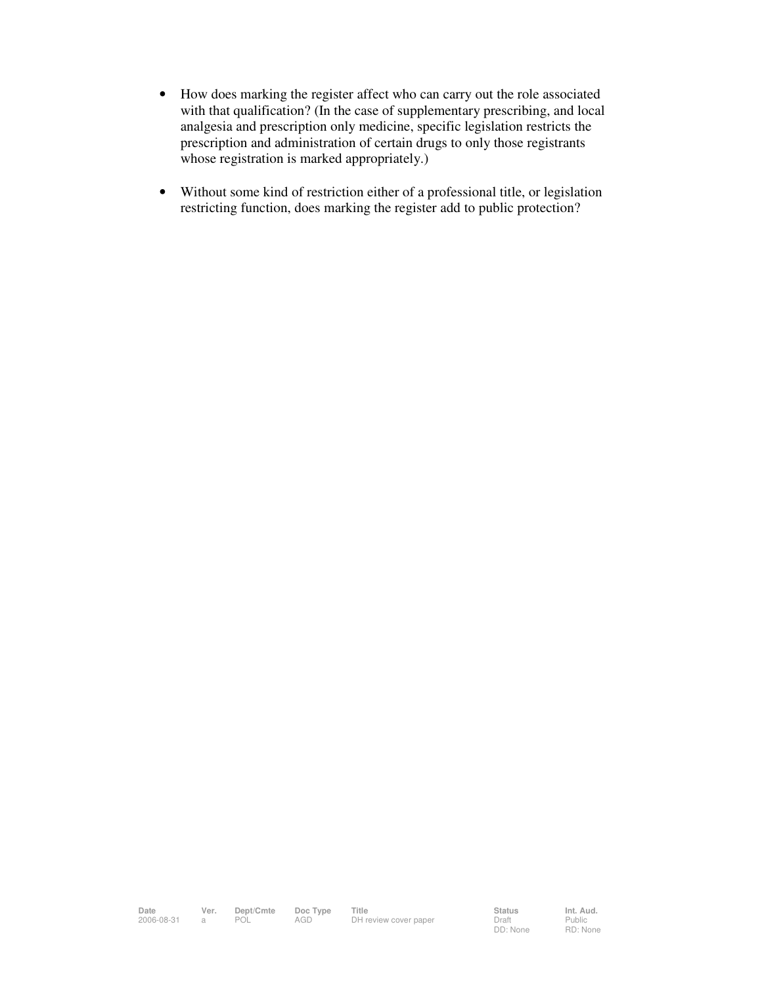- How does marking the register affect who can carry out the role associated with that qualification? (In the case of supplementary prescribing, and local analgesia and prescription only medicine, specific legislation restricts the prescription and administration of certain drugs to only those registrants whose registration is marked appropriately.)
- Without some kind of restriction either of a professional title, or legislation restricting function, does marking the register add to public protection?

Public RD: None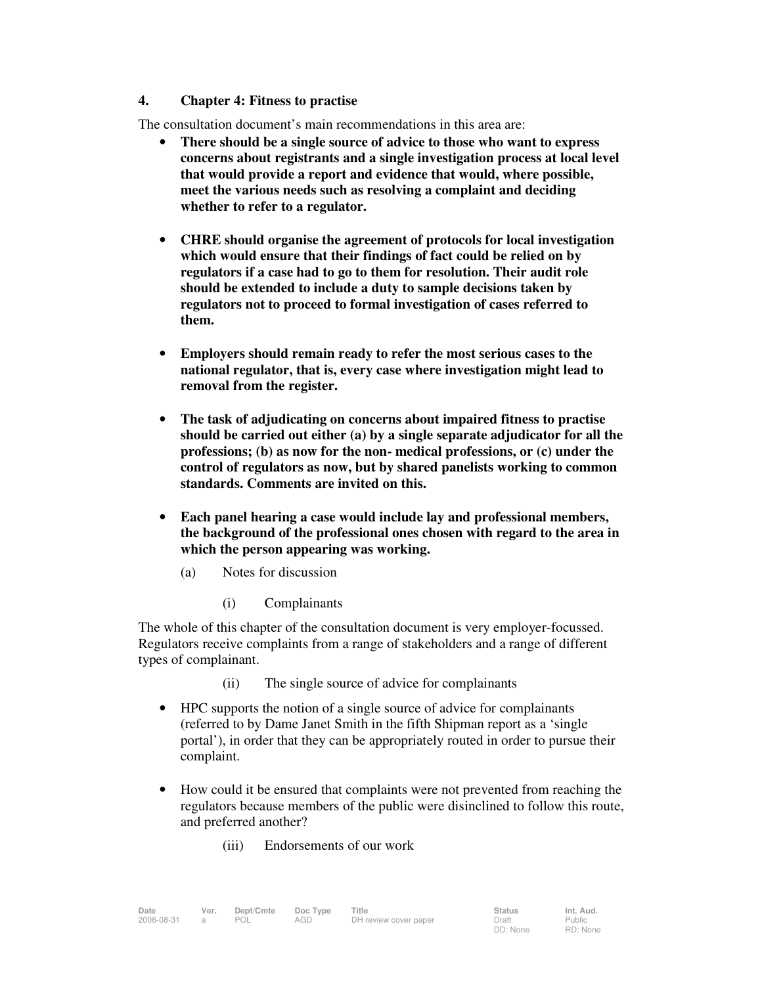#### **4. Chapter 4: Fitness to practise**

The consultation document's main recommendations in this area are:

- **There should be a single source of advice to those who want to express concerns about registrants and a single investigation process at local level that would provide a report and evidence that would, where possible, meet the various needs such as resolving a complaint and deciding whether to refer to a regulator.**
- **CHRE should organise the agreement of protocols for local investigation which would ensure that their findings of fact could be relied on by regulators if a case had to go to them for resolution. Their audit role should be extended to include a duty to sample decisions taken by regulators not to proceed to formal investigation of cases referred to them.**
- **Employers should remain ready to refer the most serious cases to the national regulator, that is, every case where investigation might lead to removal from the register.**
- **The task of adjudicating on concerns about impaired fitness to practise should be carried out either (a) by a single separate adjudicator for all the professions; (b) as now for the non- medical professions, or (c) under the control of regulators as now, but by shared panelists working to common standards. Comments are invited on this.**
- **Each panel hearing a case would include lay and professional members, the background of the professional ones chosen with regard to the area in which the person appearing was working.** 
	- (a) Notes for discussion
		- (i) Complainants

The whole of this chapter of the consultation document is very employer-focussed. Regulators receive complaints from a range of stakeholders and a range of different types of complainant.

- (ii) The single source of advice for complainants
- HPC supports the notion of a single source of advice for complainants (referred to by Dame Janet Smith in the fifth Shipman report as a 'single portal'), in order that they can be appropriately routed in order to pursue their complaint.
- How could it be ensured that complaints were not prevented from reaching the regulators because members of the public were disinclined to follow this route, and preferred another?
	- (iii) Endorsements of our work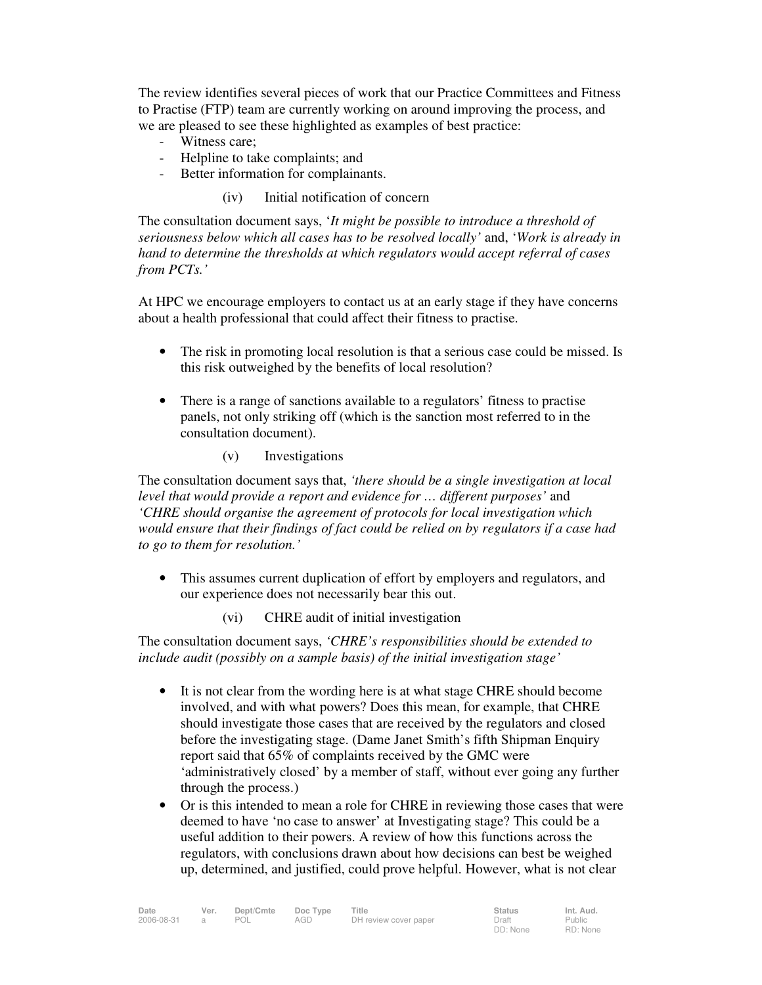The review identifies several pieces of work that our Practice Committees and Fitness to Practise (FTP) team are currently working on around improving the process, and we are pleased to see these highlighted as examples of best practice:

- Witness care;
- Helpline to take complaints; and
- Better information for complainants.

#### (iv) Initial notification of concern

The consultation document says, '*It might be possible to introduce a threshold of seriousness below which all cases has to be resolved locally'* and, '*Work is already in hand to determine the thresholds at which regulators would accept referral of cases from PCTs.'*

At HPC we encourage employers to contact us at an early stage if they have concerns about a health professional that could affect their fitness to practise.

- The risk in promoting local resolution is that a serious case could be missed. Is this risk outweighed by the benefits of local resolution?
- There is a range of sanctions available to a regulators' fitness to practise panels, not only striking off (which is the sanction most referred to in the consultation document).
	- (v) Investigations

The consultation document says that, *'there should be a single investigation at local level that would provide a report and evidence for … different purposes'* and *'CHRE should organise the agreement of protocols for local investigation which would ensure that their findings of fact could be relied on by regulators if a case had to go to them for resolution.'*

- This assumes current duplication of effort by employers and regulators, and our experience does not necessarily bear this out.
	- (vi) CHRE audit of initial investigation

The consultation document says, *'CHRE's responsibilities should be extended to include audit (possibly on a sample basis) of the initial investigation stage'* 

- It is not clear from the wording here is at what stage CHRE should become involved, and with what powers? Does this mean, for example, that CHRE should investigate those cases that are received by the regulators and closed before the investigating stage. (Dame Janet Smith's fifth Shipman Enquiry report said that 65% of complaints received by the GMC were 'administratively closed' by a member of staff, without ever going any further through the process.)
- Or is this intended to mean a role for CHRE in reviewing those cases that were deemed to have 'no case to answer' at Investigating stage? This could be a useful addition to their powers. A review of how this functions across the regulators, with conclusions drawn about how decisions can best be weighed up, determined, and justified, could prove helpful. However, what is not clear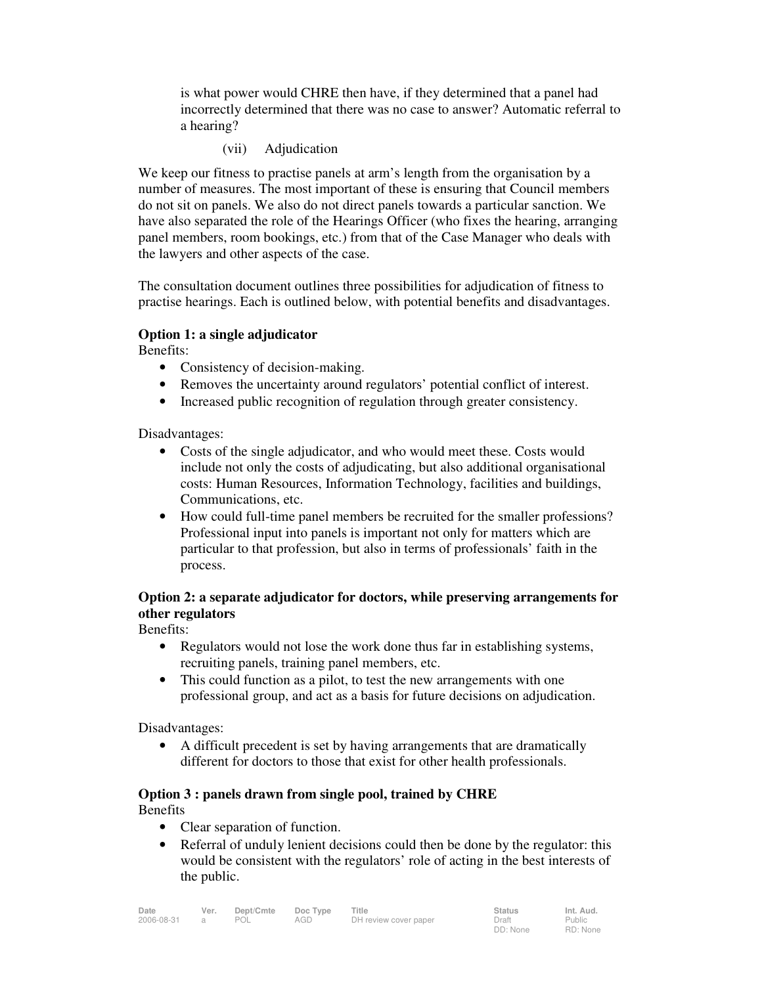is what power would CHRE then have, if they determined that a panel had incorrectly determined that there was no case to answer? Automatic referral to a hearing?

(vii) Adjudication

We keep our fitness to practise panels at arm's length from the organisation by a number of measures. The most important of these is ensuring that Council members do not sit on panels. We also do not direct panels towards a particular sanction. We have also separated the role of the Hearings Officer (who fixes the hearing, arranging panel members, room bookings, etc.) from that of the Case Manager who deals with the lawyers and other aspects of the case.

The consultation document outlines three possibilities for adjudication of fitness to practise hearings. Each is outlined below, with potential benefits and disadvantages.

#### **Option 1: a single adjudicator**

Benefits:

- Consistency of decision-making.
- Removes the uncertainty around regulators' potential conflict of interest.
- Increased public recognition of regulation through greater consistency.

Disadvantages:

- Costs of the single adjudicator, and who would meet these. Costs would include not only the costs of adjudicating, but also additional organisational costs: Human Resources, Information Technology, facilities and buildings, Communications, etc.
- How could full-time panel members be recruited for the smaller professions? Professional input into panels is important not only for matters which are particular to that profession, but also in terms of professionals' faith in the process.

### **Option 2: a separate adjudicator for doctors, while preserving arrangements for other regulators**

Benefits:

- Regulators would not lose the work done thus far in establishing systems, recruiting panels, training panel members, etc.
- This could function as a pilot, to test the new arrangements with one professional group, and act as a basis for future decisions on adjudication.

Disadvantages:

• A difficult precedent is set by having arrangements that are dramatically different for doctors to those that exist for other health professionals.

### **Option 3 : panels drawn from single pool, trained by CHRE**

Benefits

- Clear separation of function.
- Referral of unduly lenient decisions could then be done by the regulator: this would be consistent with the regulators' role of acting in the best interests of the public.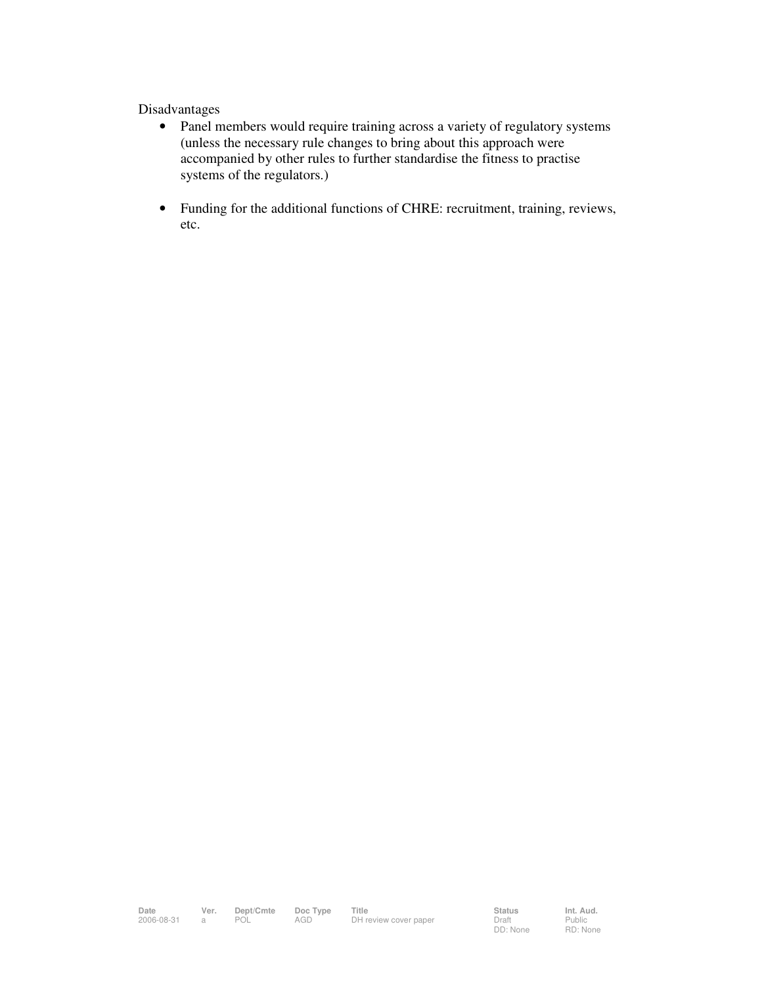#### Disadvantages

- Panel members would require training across a variety of regulatory systems (unless the necessary rule changes to bring about this approach were accompanied by other rules to further standardise the fitness to practise systems of the regulators.)
- Funding for the additional functions of CHRE: recruitment, training, reviews, etc.

Public RD: None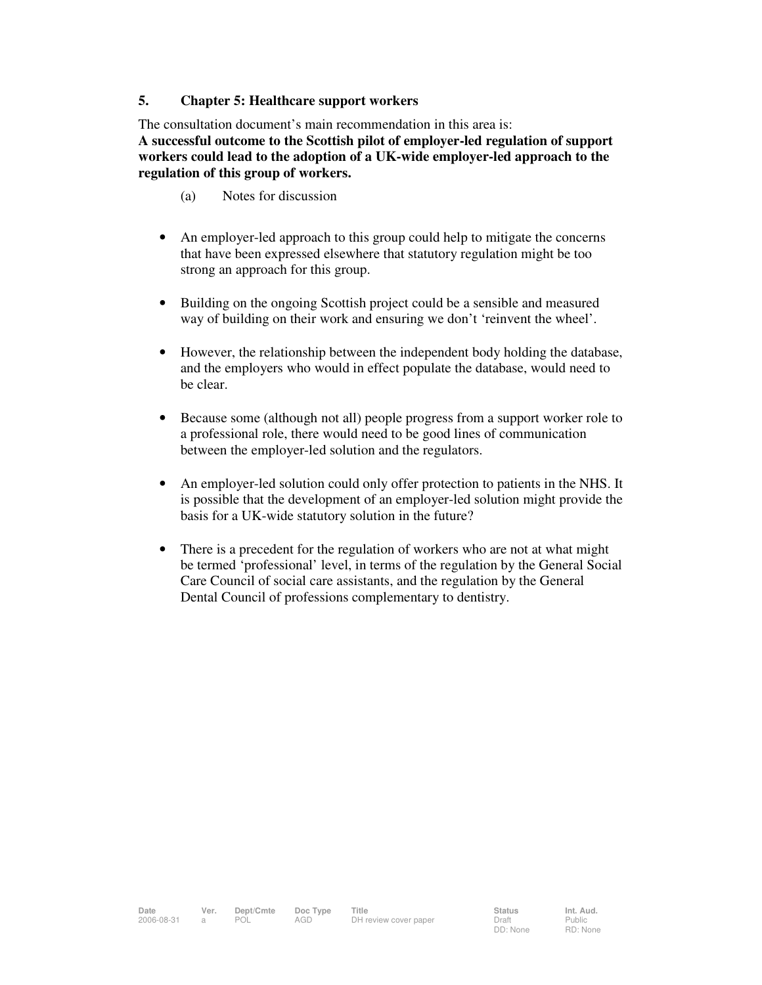#### **5. Chapter 5: Healthcare support workers**

The consultation document's main recommendation in this area is:

**A successful outcome to the Scottish pilot of employer-led regulation of support workers could lead to the adoption of a UK-wide employer-led approach to the regulation of this group of workers.** 

- (a) Notes for discussion
- An employer-led approach to this group could help to mitigate the concerns that have been expressed elsewhere that statutory regulation might be too strong an approach for this group.
- Building on the ongoing Scottish project could be a sensible and measured way of building on their work and ensuring we don't 'reinvent the wheel'.
- However, the relationship between the independent body holding the database, and the employers who would in effect populate the database, would need to be clear.
- Because some (although not all) people progress from a support worker role to a professional role, there would need to be good lines of communication between the employer-led solution and the regulators.
- An employer-led solution could only offer protection to patients in the NHS. It is possible that the development of an employer-led solution might provide the basis for a UK-wide statutory solution in the future?
- There is a precedent for the regulation of workers who are not at what might be termed 'professional' level, in terms of the regulation by the General Social Care Council of social care assistants, and the regulation by the General Dental Council of professions complementary to dentistry.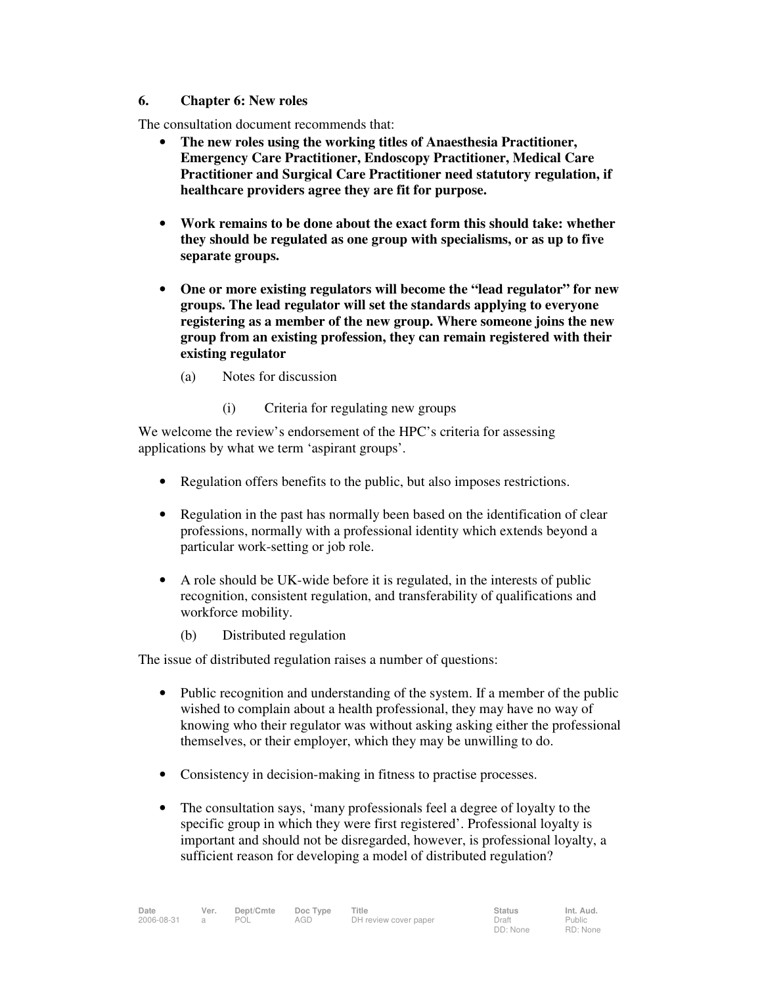#### **6. Chapter 6: New roles**

The consultation document recommends that:

- **The new roles using the working titles of Anaesthesia Practitioner, Emergency Care Practitioner, Endoscopy Practitioner, Medical Care Practitioner and Surgical Care Practitioner need statutory regulation, if healthcare providers agree they are fit for purpose.**
- **Work remains to be done about the exact form this should take: whether they should be regulated as one group with specialisms, or as up to five separate groups.**
- **One or more existing regulators will become the "lead regulator" for new groups. The lead regulator will set the standards applying to everyone registering as a member of the new group. Where someone joins the new group from an existing profession, they can remain registered with their existing regulator** 
	- (a) Notes for discussion
		- (i) Criteria for regulating new groups

We welcome the review's endorsement of the HPC's criteria for assessing applications by what we term 'aspirant groups'.

- Regulation offers benefits to the public, but also imposes restrictions.
- Regulation in the past has normally been based on the identification of clear professions, normally with a professional identity which extends beyond a particular work-setting or job role.
- A role should be UK-wide before it is regulated, in the interests of public recognition, consistent regulation, and transferability of qualifications and workforce mobility.
	- (b) Distributed regulation

The issue of distributed regulation raises a number of questions:

- Public recognition and understanding of the system. If a member of the public wished to complain about a health professional, they may have no way of knowing who their regulator was without asking asking either the professional themselves, or their employer, which they may be unwilling to do.
- Consistency in decision-making in fitness to practise processes.
- The consultation says, 'many professionals feel a degree of loyalty to the specific group in which they were first registered'. Professional loyalty is important and should not be disregarded, however, is professional loyalty, a sufficient reason for developing a model of distributed regulation?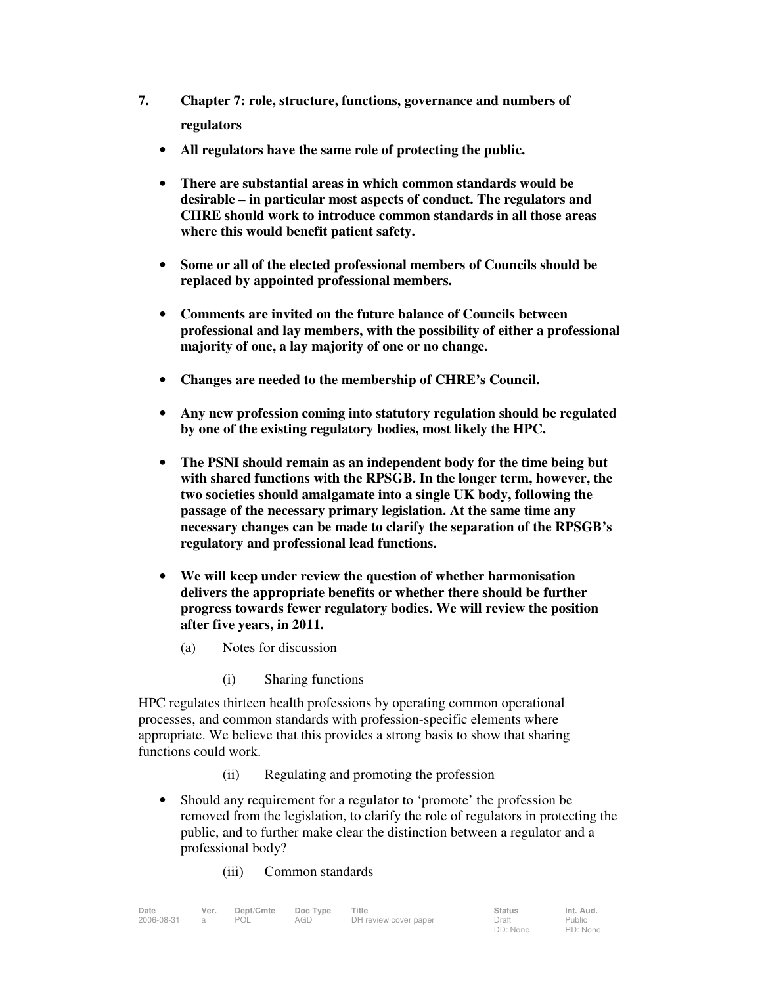- **7. Chapter 7: role, structure, functions, governance and numbers of regulators** 
	- **All regulators have the same role of protecting the public.**
	- **There are substantial areas in which common standards would be desirable – in particular most aspects of conduct. The regulators and CHRE should work to introduce common standards in all those areas where this would benefit patient safety.**
	- **Some or all of the elected professional members of Councils should be replaced by appointed professional members.**
	- **Comments are invited on the future balance of Councils between professional and lay members, with the possibility of either a professional majority of one, a lay majority of one or no change.**
	- **Changes are needed to the membership of CHRE's Council.**
	- **Any new profession coming into statutory regulation should be regulated by one of the existing regulatory bodies, most likely the HPC.**
	- **The PSNI should remain as an independent body for the time being but with shared functions with the RPSGB. In the longer term, however, the two societies should amalgamate into a single UK body, following the passage of the necessary primary legislation. At the same time any necessary changes can be made to clarify the separation of the RPSGB's regulatory and professional lead functions.**
	- **We will keep under review the question of whether harmonisation delivers the appropriate benefits or whether there should be further progress towards fewer regulatory bodies. We will review the position after five years, in 2011.** 
		- (a) Notes for discussion
			- (i) Sharing functions

HPC regulates thirteen health professions by operating common operational processes, and common standards with profession-specific elements where appropriate. We believe that this provides a strong basis to show that sharing functions could work.

- (ii) Regulating and promoting the profession
- Should any requirement for a regulator to 'promote' the profession be removed from the legislation, to clarify the role of regulators in protecting the public, and to further make clear the distinction between a regulator and a professional body?
	- (iii) Common standards

| Date       | Ver. | Dept/Cmte | Doc Type | Title                 | <b>Status</b>     | Int. Aud.                 |
|------------|------|-----------|----------|-----------------------|-------------------|---------------------------|
| 2006-08-31 |      | POL       | AGD      | DH review cover paper | Draft<br>DD: None | <b>Public</b><br>RD: None |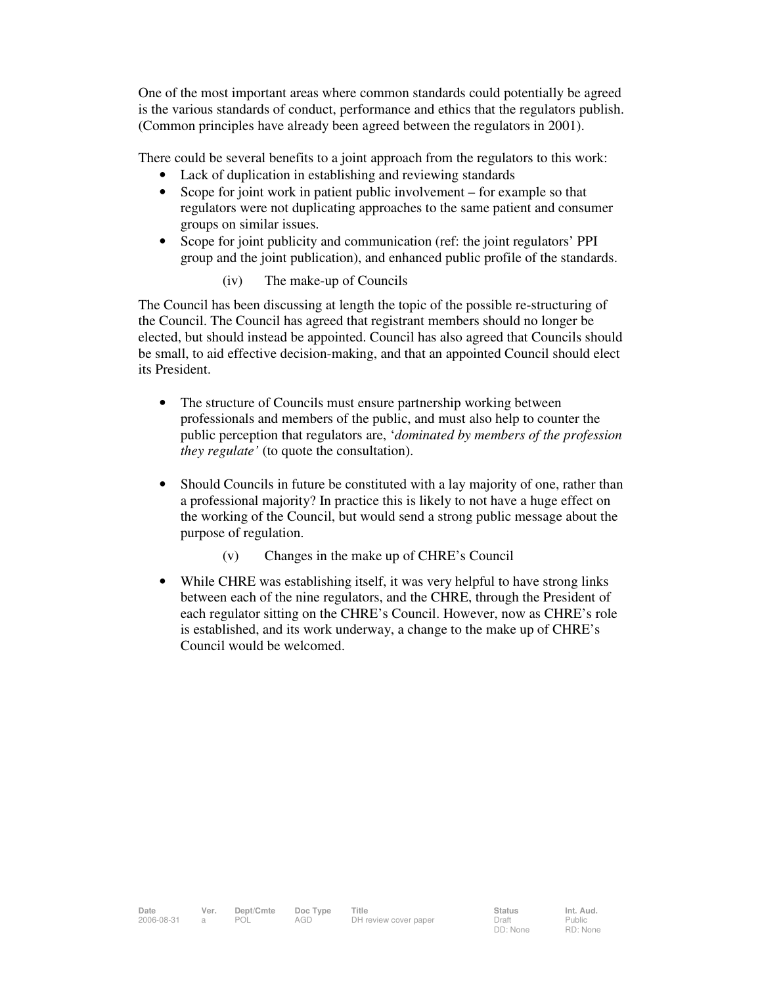One of the most important areas where common standards could potentially be agreed is the various standards of conduct, performance and ethics that the regulators publish. (Common principles have already been agreed between the regulators in 2001).

There could be several benefits to a joint approach from the regulators to this work:

- Lack of duplication in establishing and reviewing standards
- Scope for joint work in patient public involvement for example so that regulators were not duplicating approaches to the same patient and consumer groups on similar issues.
- Scope for joint publicity and communication (ref: the joint regulators' PPI group and the joint publication), and enhanced public profile of the standards.
	- (iv) The make-up of Councils

The Council has been discussing at length the topic of the possible re-structuring of the Council. The Council has agreed that registrant members should no longer be elected, but should instead be appointed. Council has also agreed that Councils should be small, to aid effective decision-making, and that an appointed Council should elect its President.

- The structure of Councils must ensure partnership working between professionals and members of the public, and must also help to counter the public perception that regulators are, '*dominated by members of the profession they regulate'* (to quote the consultation).
- Should Councils in future be constituted with a lay majority of one, rather than a professional majority? In practice this is likely to not have a huge effect on the working of the Council, but would send a strong public message about the purpose of regulation.
	- (v) Changes in the make up of CHRE's Council
- While CHRE was establishing itself, it was very helpful to have strong links between each of the nine regulators, and the CHRE, through the President of each regulator sitting on the CHRE's Council. However, now as CHRE's role is established, and its work underway, a change to the make up of CHRE's Council would be welcomed.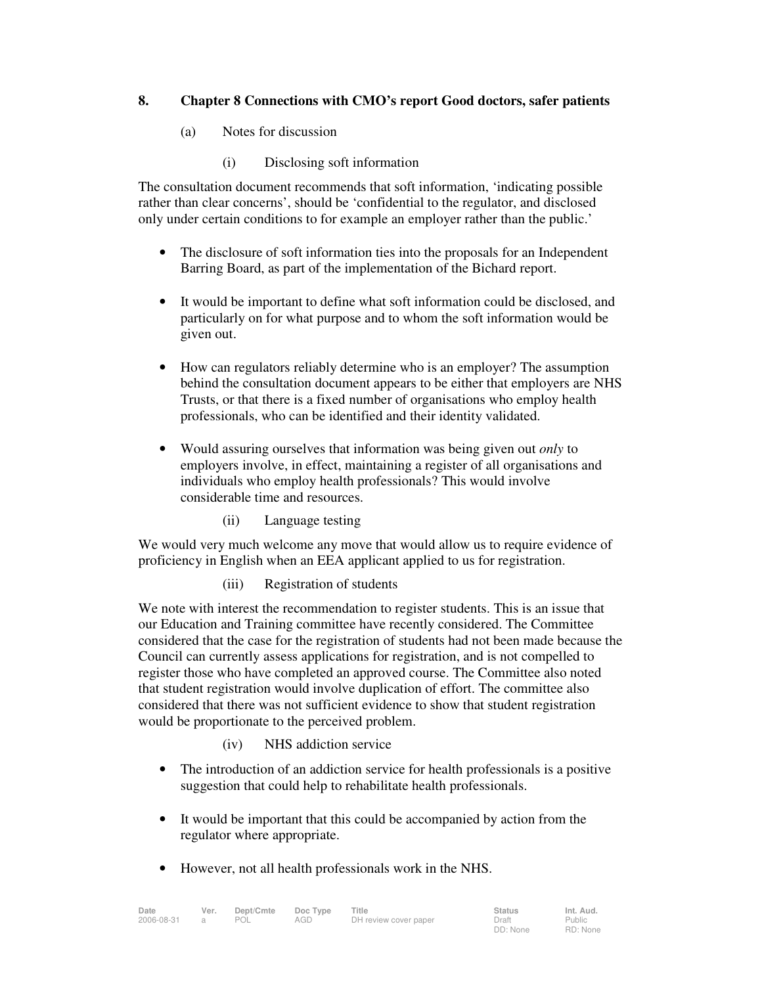### **8. Chapter 8 Connections with CMO's report Good doctors, safer patients**

- (a) Notes for discussion
	- (i) Disclosing soft information

The consultation document recommends that soft information, 'indicating possible rather than clear concerns', should be 'confidential to the regulator, and disclosed only under certain conditions to for example an employer rather than the public.'

- The disclosure of soft information ties into the proposals for an Independent Barring Board, as part of the implementation of the Bichard report.
- It would be important to define what soft information could be disclosed, and particularly on for what purpose and to whom the soft information would be given out.
- How can regulators reliably determine who is an employer? The assumption behind the consultation document appears to be either that employers are NHS Trusts, or that there is a fixed number of organisations who employ health professionals, who can be identified and their identity validated.
- Would assuring ourselves that information was being given out *only* to employers involve, in effect, maintaining a register of all organisations and individuals who employ health professionals? This would involve considerable time and resources.
	- (ii) Language testing

We would very much welcome any move that would allow us to require evidence of proficiency in English when an EEA applicant applied to us for registration.

(iii) Registration of students

We note with interest the recommendation to register students. This is an issue that our Education and Training committee have recently considered. The Committee considered that the case for the registration of students had not been made because the Council can currently assess applications for registration, and is not compelled to register those who have completed an approved course. The Committee also noted that student registration would involve duplication of effort. The committee also considered that there was not sufficient evidence to show that student registration would be proportionate to the perceived problem.

- (iv) NHS addiction service
- The introduction of an addiction service for health professionals is a positive suggestion that could help to rehabilitate health professionals.
- It would be important that this could be accompanied by action from the regulator where appropriate.
- However, not all health professionals work in the NHS.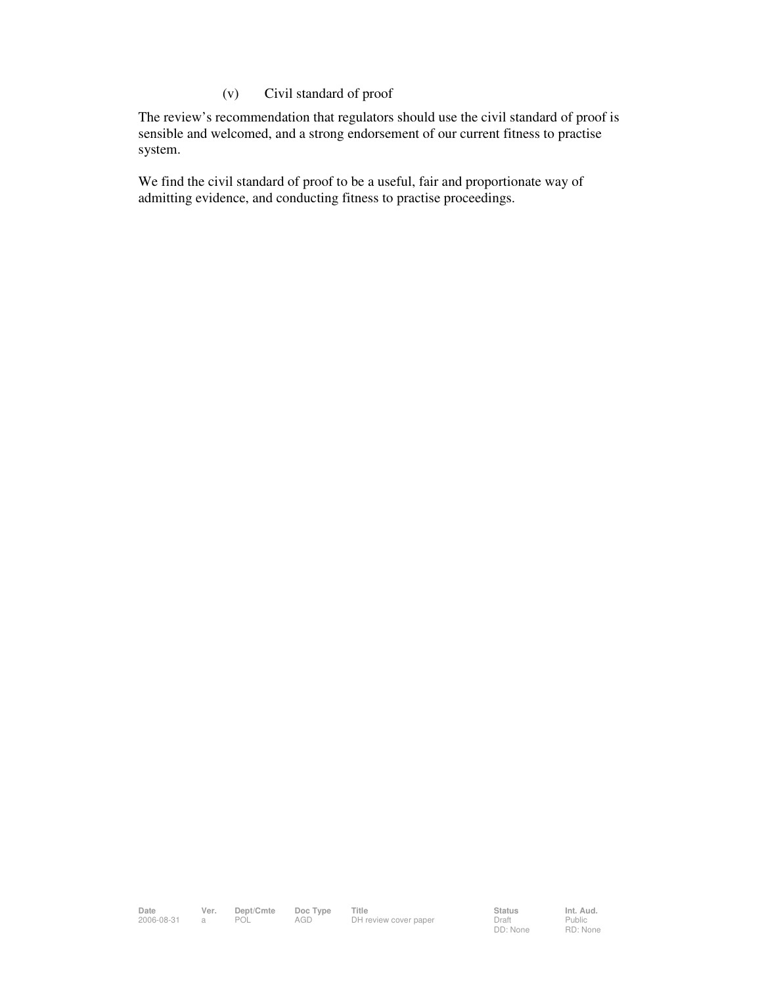### (v) Civil standard of proof

The review's recommendation that regulators should use the civil standard of proof is sensible and welcomed, and a strong endorsement of our current fitness to practise system.

We find the civil standard of proof to be a useful, fair and proportionate way of admitting evidence, and conducting fitness to practise proceedings.

Date Ver. Dept/Cmte Doc<sup>Type</sup> Title **Status** Status Int. Aud. 2006-08-31 a POL AGD DH review cover paper Draft

DD: None

Public RD: None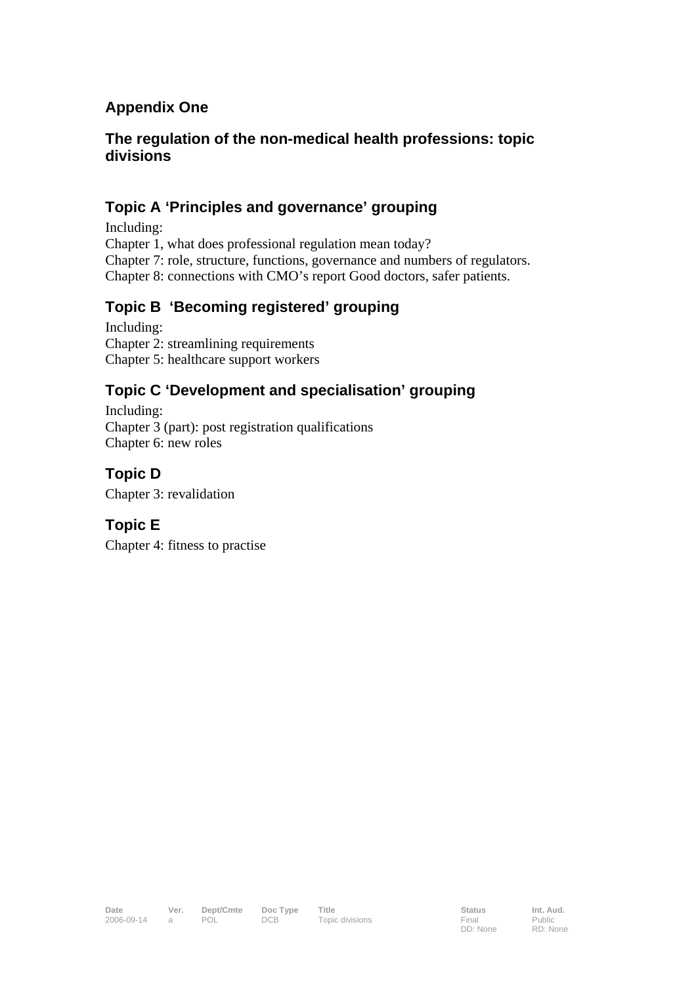## **Appendix One**

## **The regulation of the non-medical health professions: topic divisions**

## **Topic A 'Principles and governance' grouping**

Including: Chapter 1, what does professional regulation mean today? Chapter 7: role, structure, functions, governance and numbers of regulators. Chapter 8: connections with CMO's report Good doctors, safer patients.

## **Topic B 'Becoming registered' grouping**

Including: Chapter 2: streamlining requirements Chapter 5: healthcare support workers

## **Topic C 'Development and specialisation' grouping**

Including: Chapter 3 (part): post registration qualifications Chapter 6: new roles

## **Topic D**

Chapter 3: revalidation

## **Topic E**

Chapter 4: fitness to practise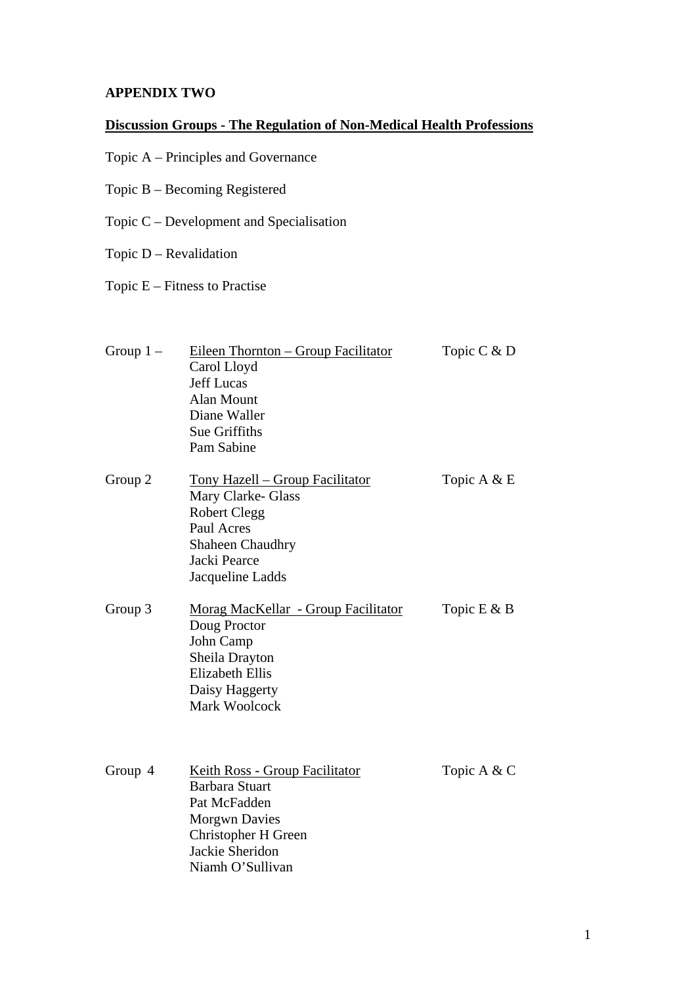### **APPENDIX TWO**

## **Discussion Groups - The Regulation of Non-Medical Health Professions**

- Topic A Principles and Governance
- Topic B Becoming Registered
- Topic C Development and Specialisation
- Topic D Revalidation
- Topic E Fitness to Practise

| Group $1 -$ | Eileen Thornton - Group Facilitator<br>Carol Lloyd<br><b>Jeff Lucas</b><br><b>Alan Mount</b><br>Diane Waller<br>Sue Griffiths<br>Pam Sabine                          | Topic C & D    |
|-------------|----------------------------------------------------------------------------------------------------------------------------------------------------------------------|----------------|
| Group 2     | <u> Tony Hazell – Group Facilitator</u><br>Mary Clarke- Glass<br><b>Robert Clegg</b><br>Paul Acres<br><b>Shaheen Chaudhry</b><br>Jacki Pearce<br>Jacqueline Ladds    | Topic A & E    |
| Group 3     | Morag MacKellar - Group Facilitator<br>Doug Proctor<br>John Camp<br>Sheila Drayton<br><b>Elizabeth Ellis</b><br>Daisy Haggerty<br><b>Mark Woolcock</b>               | Topic $E \& B$ |
| Group 4     | <b>Keith Ross - Group Facilitator</b><br><b>Barbara Stuart</b><br>Pat McFadden<br><b>Morgwn Davies</b><br>Christopher H Green<br>Jackie Sheridon<br>Niamh O'Sullivan | Topic A & C    |